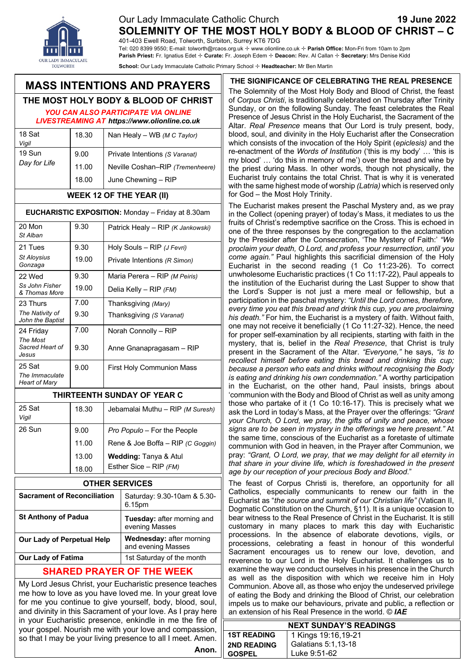### Our Lady Immaculate Catholic Church **19 June 2022 SOLEMNITY OF THE MOST HOLY BODY & BLOOD OF CHRIST – C**

401-403 Ewell Road, Tolworth, Surbiton, Surrey KT6 7DG

Tel: 020 8399 9550; E-mail: tolworth@rcaos.org.uk ✢ www.olionline.co.uk ✢ **Parish Office:** Mon-Fri from 10am to 2pm **Parish Priest:** Fr. Ignatius Edet ✢ **Curate:** Fr. Joseph Edem ✢ **Deacon:** Rev. Al Callan ✢ **Secretary:** Mrs Denise Kidd **School:** Our Lady Immaculate Catholic Primary School ✢ **Headteacher:** Mr Ben Martin

# **MASS INTENTIONS AND PRAYERS**

#### eve **THE MOST HOLY BODY & BLOOD OF CHRIST**

*YOU CAN ALSO PARTICIPATE VIA ONLINE LIVESTREAMING AT https://www.olionline.co.uk*

| 18 Sat<br>Vigil        | 18.30                  | Nan Healy - WB (M C Taylor)                                                               |
|------------------------|------------------------|-------------------------------------------------------------------------------------------|
| 19 Sun<br>Day for Life | 9.00<br>11.00<br>18.00 | Private Intentions (S Varanat)<br>Neville Coshan-RIP (Tremenheere)<br>June Chewning - RIP |

#### **WEEK 12 OF THE YEAR (II)**

#### **EUCHARISTIC EXPOSITION:** Monday – Friday at 8.30am

| 20 Mon<br>St Alban                        | 9.30  | Patrick Healy - RIP (K Jankowski) |
|-------------------------------------------|-------|-----------------------------------|
| 21 Tues                                   | 9.30  | Holy Souls - RIP (J Fevri)        |
| <b>St Aloysius</b><br>Gonzaga             | 19.00 | Private Intentions (R Simon)      |
| 22 Wed                                    | 9.30  | Maria Perera - RIP (M Peiris)     |
| Ss John Fisher<br>& Thomas More           | 19.00 | Delia Kelly - RIP (FM)            |
| 23 Thurs                                  | 7.00  | Thanksgiving (Mary)               |
| The Nativity of<br>John the Baptist       | 9.30  | Thanksgiving (S Varanat)          |
| 24 Friday                                 | 7.00  | Norah Connolly - RIP              |
| The Most<br>Sacred Heart of<br>Jesus      | 9.30  | Anne Gnanapragasam - RIP          |
| 25 Sat<br>The Immaculate<br>Heart of Mary | 9.00  | <b>First Holy Communion Mass</b>  |

#### **THIRTEENTH SUNDAY OF YEAR C**

| 25 Sat<br>Vigil | 18.30 | Jebamalai Muthu - RIP (M Suresh)  |
|-----------------|-------|-----------------------------------|
| 26 Sun          | 9.00  | Pro Populo – For the People       |
|                 | 11.00 | Rene & Joe Boffa - RIP (C Goggin) |
|                 | 13.00 | Wedding: Tanya & Atul             |
|                 | 18.00 | Esther Sice – RIP $(FM)$          |

| <b>OTHER SERVICES</b> |
|-----------------------|
|-----------------------|

| <b>Sacrament of Reconciliation</b> | Saturday: 9.30-10am & 5.30-<br>6.15pm                 |
|------------------------------------|-------------------------------------------------------|
| <b>St Anthony of Padua</b>         | Tuesday: after morning and<br>evening Masses          |
| <b>Our Lady of Perpetual Help</b>  | <b>Wednesday: after morning</b><br>and evening Masses |
| <b>Our Lady of Fatima</b>          | 1st Saturday of the month                             |
|                                    |                                                       |

## **SHARED PRAYER OF THE WEEK**

My Lord Jesus Christ, your Eucharistic presence teaches me how to love as you have loved me. In your great love for me you continue to give yourself, body, blood, soul, and divinity in this Sacrament of your love. As I pray here in your Eucharistic presence, enkindle in me the fire of your gospel. Nourish me with your love and compassion, so that I may be your living presence to all I meet. Amen. **Anon.**

**THE SIGNIFICANCE OF CELEBRATING THE REAL PRESENCE** The Solemnity of the Most Holy Body and Blood of Christ, the feast of *Corpus Christi*, is traditionally celebrated on Thursday after Trinity Sunday, or on the following Sunday. The feast celebrates the Real Presence of Jesus Christ in the Holy Eucharist, the Sacrament of the Altar. *Real Presence* means that Our Lord is truly present, body, blood, soul, and divinity in the Holy Eucharist after the Consecration which consists of the invocation of the Holy Spirit (*epiclesis)* and the re-enactment of the *Words of Institution* ('this is my body' … 'this is my blood' … 'do this in memory of me') over the bread and wine by the priest during Mass. In other words, though not physically, the Eucharist truly contains the total Christ. That is why it is venerated with the same highest mode of worship *(Latria)* which is reserved only for God – the Most Holy Trinity.

The Eucharist makes present the Paschal Mystery and, as we pray in the Collect (opening prayer) of today's Mass, it mediates to us the fruits of Christ's redemptive sacrifice on the Cross. This is echoed in one of the three responses by the congregation to the acclamation by the Presider after the Consecration, 'The Mystery of Faith:' *"We proclaim your death, O Lord, and profess your resurrection, until you come again."* Paul highlights this sacrificial dimension of the Holy Eucharist in the second reading (1 Co 11:23-26). To correct unwholesome Eucharistic practices (1 Co 11:17-22), Paul appeals to the institution of the Eucharist during the Last Supper to show that the Lord's Supper is not just a mere meal or fellowship, but a participation in the paschal mystery: *"Until the Lord comes, therefore, every time you eat this bread and drink this cup, you are proclaiming his death."* For him, the Eucharist is a mystery of faith. Without faith, one may not receive it beneficially (1 Co 11:27-32). Hence, the need for proper self-examination by all recipients, starting with faith in the mystery, that is, belief in the *Real Presence*, that Christ is truly present in the Sacrament of the Altar. *"Everyone,"* he says, *"is to recollect himself before eating this bread and drinking this cup; because a person who eats and drinks without recognising the Body is eating and drinking his own condemnation."* A worthy participation in the Eucharist, on the other hand, Paul insists, brings about 'communion with the Body and Blood of Christ as well as unity among those who partake of it (1 Co 10:16-17). This is precisely what we ask the Lord in today's Mass, at the Prayer over the offerings: *"Grant your Church, O Lord, we pray, the gifts of unity and peace, whose signs are to be seen in mystery in the offerings we here present."* At the same time, conscious of the Eucharist as a foretaste of ultimate communion with God in heaven, in the Prayer after Communion, we pray: *"Grant, O Lord, we pray, that we may delight for all eternity in that share in your divine life, which is foreshadowed in the present age by our reception of your precious Body and Blood*."

The feast of Corpus Christi is, therefore, an opportunity for all Catholics, especially communicants to renew our faith in the Eucharist as "*the source and summit of our Christian life"* (Vatican II, Dogmatic Constitution on the Church, §11). It is a unique occasion to bear witness to the Real Presence of Christ in the Eucharist. It is still customary in many places to mark this day with Eucharistic processions. In the absence of elaborate devotions, vigils, or processions, celebrating a feast in honour of this wonderful Sacrament encourages us to renew our love, devotion, and reverence to our Lord in the Holy Eucharist. It challenges us to examine the way we conduct ourselves in his presence in the Church as well as the disposition with which we receive him in Holy Communion. Above all, as those who enjoy the undeserved privilege of eating the Body and drinking the Blood of Christ, our celebration impels us to make our behaviours, private and public, a reflection or an extension of his Real Presence in the world. © *IAE*

| <b>NEXT SUNDAY'S READINGS</b> |                     |  |
|-------------------------------|---------------------|--|
| <b>1ST READING</b>            | 1 Kings 19:16,19-21 |  |
| <b>2ND READING</b>            | Galatians 5:1,13-18 |  |
| <b>GOSPEL</b>                 | Luke 9:51-62        |  |